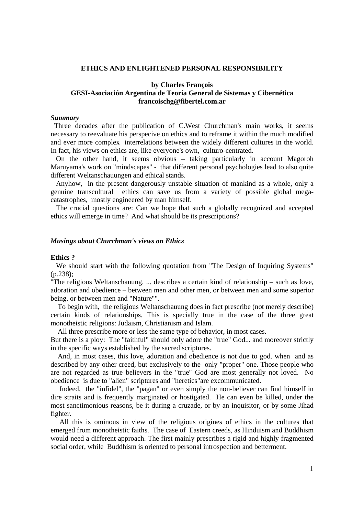### **ETHICS AND ENLIGHTENED PERSONAL RESPONSIBILITY**

# **by Charles François GESI-Asociación Argentina de Teoría General de Sistemas y Cibernética francoischg@fibertel.com.ar**

## *Summary*

Three decades after the publication of C.West Churchman's main works, it seems necessary to reevaluate his perspecive on ethics and to reframe it within the much modified and ever more complex interrelations between the widely different cultures in the world. In fact, his views on ethics are, like everyone's own, culturo-centrated.

 On the other hand, it seems obvious – taking particularly in account Magoroh Maruyama's work on "mindscapes" - that different personal psychologies lead to also quite different Weltanschauungen and ethical stands.

 Anyhow, in the present dangerously unstable situation of mankind as a whole, only a genuine transcultural ethics can save us from a variety of possible global megacatastrophes, mostly engineered by man himself.

 The crucial questions are: Can we hope that such a globally recognized and accepted ethics will emerge in time? And what should be its prescriptions?

## *Musings about Churchman's views on Ethics*

#### **Ethics ?**

We should start with the following quotation from "The Design of Inquiring Systems" (p.238);

"The religious Weltanschauung, ... describes a certain kind of relationship – such as love, adoration and obedience – between men and other men, or between men and some superior being. or between men and "Nature"".

To begin with, the religious Weltanschauung does in fact prescribe (not merely describe) certain kinds of relationships. This is specially true in the case of the three great monotheistic religions: Judaism, Christianism and Islam.

All three prescribe more or less the same type of behavior, in most cases.

But there is a ploy: The "faithful" should only adore the "true" God... and moreover strictly in the specific ways established by the sacred scriptures.

 And, in most cases, this love, adoration and obedience is not due to god. when and as described by any other creed, but exclusively to the only "proper" one. Those people who are not regarded as true believers in the "true" God are most generally not loved. No obedience is due to "alien" scriptures and "heretics"are excommunicated.

Indeed, the "infidel", the "pagan" or even simply the non-believer can find himself in dire straits and is frequently marginated or hostigated. He can even be killed, under the most sanctimonious reasons, be it during a cruzade, or by an inquisitor, or by some Jihad fighter.

 All this is ominous in view of the religious origines of ethics in the cultures that emerged from monotheistic faiths. The case of Eastern creeds, as Hinduism and Buddhism would need a different approach. The first mainly prescribes a rigid and highly fragmented social order, while Buddhism is oriented to personal introspection and betterment.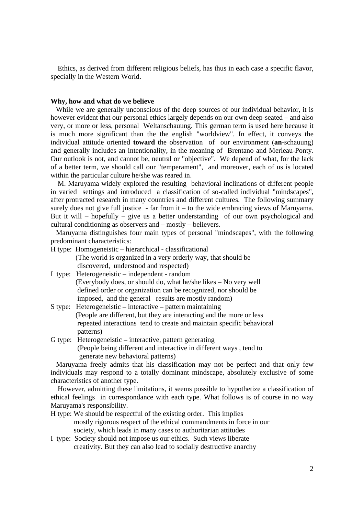Ethics, as derived from different religious beliefs, has thus in each case a specific flavor, specially in the Western World.

### **Why, how and what do we believe**

While we are generally unconscious of the deep sources of our individual behavior, it is however evident that our personal ethics largely depends on our own deep-seated – and also very, or more or less, personal Weltanschauung. This german term is used here because it is much more significant than the the english "worldview". In effect, it conveys the individual attitude oriented **toward** the observation of our environment (**an**-schauung) and generally includes an intentionality, in the meaning of Brentano and Merleau-Ponty. Our outlook is not, and cannot be, neutral or "objective". We depend of what, for the lack of a better term, we should call our "temperament", and moreover, each of us is located within the particular culture he/she was reared in.

 M. Maruyama widely explored the resulting behavioral inclinations of different people in varied settings and introduced a classification of so-called individual "mindscapes", after protracted research in many countries and different cultures. The following summary surely does not give full justice - far from it – to the wide embracing views of Maruyama. But it will – hopefully – give us a better understanding of our own psychological and cultural conditioning as observers and – mostly – believers.

 Maruyama distinguishes four main types of personal "mindscapes", with the following predominant characteristics:

- H type: Homogeneistic hierarchical classificational (The world is organized in a very orderly way, that should be discovered, understood and respected)
- I type: Heterogeneistic independent random (Everybody does, or should do, what he/she likes – No very well defined order or organization can be recognized, nor should be imposed, and the general results are mostly random)
- S type: Heterogeneistic interactive pattern maintaining (People are different, but they are interacting and the more or less repeated interactions tend to create and maintain specific behavioral patterns)
- G type: Heterogeneistic interactive, pattern generating (People being different and interactive in different ways , tend to generate new behavioral patterns)

 Maruyama freely admits that his classification may not be perfect and that only few individuals may respond to a totally dominant mindscape, absolutely exclusive of some characteristics of another type.

 However, admitting these limitations, it seems possible to hypothetize a classification of ethical feelings in correspondance with each type. What follows is of course in no way Maruyama's responsibility.

- H type: We should be respectful of the existing order. This implies mostly rigorous respect of the ethical commandments in force in our society, which leads in many cases to authoritarian attitudes
- I type: Society should not impose us our ethics. Such views liberate creativity. But they can also lead to socially destructive anarchy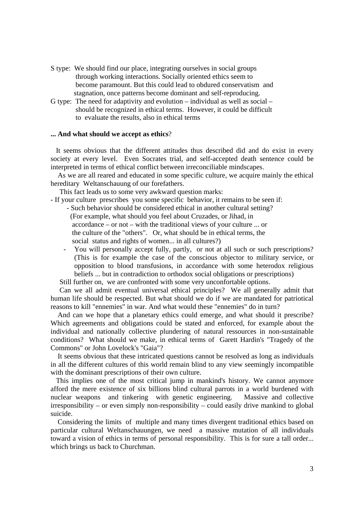- S type: We should find our place, integrating ourselves in social groups through working interactions. Socially oriented ethics seem to become paramount. But this could lead to obdured conservatism and stagnation, once patterns become dominant and self-reproducing.
- G type: The need for adaptivity and evolution individual as well as social should be recognized in ethical terms. However, it could be difficult to evaluate the results, also in ethical terms

### **... And what should we accept as ethics**?

 It seems obvious that the different attitudes thus described did and do exist in every society at every level. Even Socrates trial, and self-accepted death sentence could be interpreted in terms of ethical conflict between irreconciliable mindscapes.

 As we are all reared and educated in some specific culture, we acquire mainly the ethical hereditary Weltanschauung of our forefathers.

This fact leads us to some very awkward question marks:

- If your culture prescribes you some specific behavior, it remains to be seen if:
	- Such behavior should be considered ethical in another cultural setting? (For example, what should you feel about Cruzades, or Jihad, in accordance – or not – with the traditional views of your culture ... or the culture of the "others". Or, what should be in ethical terms, the social status and rights of women... in all cultures?)
	- You will personally accept fully, partly, or not at all such or such prescriptions? (This is for example the case of the conscious objector to military service, or opposition to blood transfusions, in accordance with some heterodox religious beliefs ... but in contradiction to orthodox social obligations or prescriptions)

Still further on, we are confronted with some very unconfortable options.

 Can we all admit eventual universal ethical principles? We all generally admit that human life should be respected. But what should we do if we are mandated for patriotical reasons to kill "ennemies" in war. And what would these "ennemies" do in turn?

 And can we hope that a planetary ethics could emerge, and what should it prescribe? Which agreements and obligations could be stated and enforced, for example about the individual and nationally collective plundering of natural ressources in non-sustainable conditions? What should we make, in ethical terms of Garett Hardin's "Tragedy of the Commons" or John Lovelock's "Gaia"?

 It seems obvious that these intricated questions cannot be resolved as long as individuals in all the different cultures of this world remain blind to any view seemingly incompatible with the dominant prescriptions of their own culture.

 This implies one of the most critical jump in mankind's history. We cannot anymore afford the mere existence of six billions blind cultural parrots in a world burdened with nuclear weapons and tinkering with genetic engineering. Massive and collective irresponsibility – or even simply non-responsibility – could easily drive mankind to global suicide.

 Considering the limits of multiple and many times divergent traditional ethics based on particular cultural Weltanschauungen, we need a massive mutation of all individuals toward a vision of ethics in terms of personal responsibility. This is for sure a tall order... which brings us back to Churchman.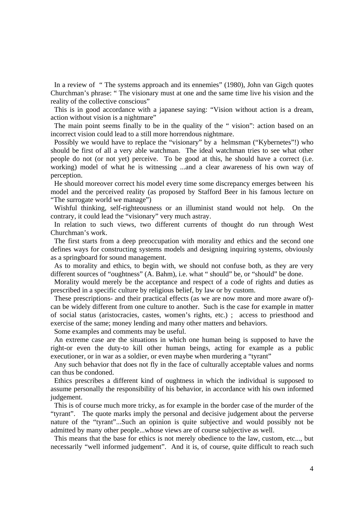In a review of " The systems approach and its ennemies" (1980), John van Gigch quotes Churchman's phrase: " The visionary must at one and the same time live his vision and the reality of the collective conscious"

 This is in good accordance with a japanese saying: "Vision without action is a dream, action without vision is a nightmare"

 The main point seems finally to be in the quality of the " vision": action based on an incorrect vision could lead to a still more horrendous nightmare.

Possibly we would have to replace the "visionary" by a helmsman ("Kybernetes"!) who should be first of all a very able watchman. The ideal watchman tries to see what other people do not (or not yet) perceive. To be good at this, he should have a correct (i.e. working) model of what he is witnessing ...and a clear awareness of his own way of perception.

 He should moreover correct his model every time some discrepancy emerges between his model and the perceived reality (as proposed by Stafford Beer in his famous lecture on "The surrogate world we manage")

 Wishful thinking, self-righteousness or an illuminist stand would not help. On the contrary, it could lead the "visionary" very much astray.

 In relation to such views, two different currents of thought do run through West Churchman's work.

 The first starts from a deep preoccupation with morality and ethics and the second one defines ways for constructing systems models and designing inquiring systems, obviously as a springboard for sound management.

 As to morality and ethics, to begin with, we should not confuse both, as they are very different sources of "oughtness" (A. Bahm), i.e. what " should" be, or "should" be done.

 Morality would merely be the acceptance and respect of a code of rights and duties as prescribed in a specific culture by religious belief, by law or by custom.

 These prescriptions- and their practical effects (as we are now more and more aware of) can be widely different from one culture to another. Such is the case for example in matter of social status (aristocracies, castes, women's rights, etc.) ; access to priesthood and exercise of the same; money lending and many other matters and behaviors.

Some examples and comments may be useful.

 An extreme case are the situations in which one human being is supposed to have the right-or even the duty-to kill other human beings, acting for example as a public executioner, or in war as a soldier, or even maybe when murdering a "tyrant"

 Any such behavior that does not fly in the face of culturally acceptable values and norms can thus be condoned.

 Ethics prescribes a different kind of oughtness in which the individual is supposed to assume personally the responsibility of his behavior, in accordance with his own informed judgement.

 This is of course much more tricky, as for example in the border case of the murder of the "tyrant". The quote marks imply the personal and decisive judgement about the perverse nature of the "tyrant"...Such an opinion is quite subjective and would possibly not be admitted by many other people...whose views are of course subjective as well.

 This means that the base for ethics is not merely obedience to the law, custom, etc..., but necessarily "well informed judgement". And it is, of course, quite difficult to reach such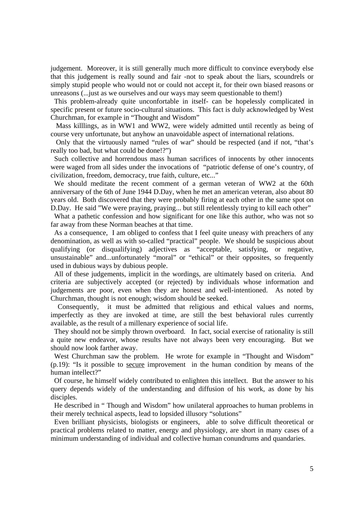judgement. Moreover, it is still generally much more difficult to convince everybody else that this judgement is really sound and fair -not to speak about the liars, scoundrels or simply stupid people who would not or could not accept it, for their own biased reasons or unreasons (...just as we ourselves and our ways may seem questionable to them!)

 This problem-already quite unconfortable in itself- can be hopelessly complicated in specific present or future socio-cultural situations. This fact is duly acknowledged by West Churchman, for example in "Thought and Wisdom"

 Mass killlings, as in WW1 and WW2, were widely admitted until recently as being of course very unfortunate, but anyhow an unavoidable aspect of international relations.

 Only that the virtuously named "rules of war" should be respected (and if not, "that's really too bad, but what could be done!?")

 Such collective and horrendous mass human sacrifices of innocents by other innocents were waged from all sides under the invocations of "patriotic defense of one's country, of civilization, freedom, democracy, true faith, culture, etc..."

 We should meditate the recent comment of a german veteran of WW2 at the 60th anniversary of the 6th of June 1944 D.Day, when he met an american veteran, also about 80 years old. Both discovered that they were probably firing at each other in the same spot on D.Day. He said "We were praying, praying... but still relentlessly trying to kill each other"

What a pathetic confession and how significant for one like this author, who was not so far away from these Norman beaches at that time.

 As a consequence, I am obliged to confess that I feel quite uneasy with preachers of any denomination, as well as with so-called "practical" people. We should be suspicious about qualifying (or disqualifying) adjectives as "acceptable, satisfying, or negative, unsustainable" and...unfortunately "moral" or "ethical" or their opposites, so frequently used in dubious ways by dubious people.

 All of these judgements, implicit in the wordings, are ultimately based on criteria. And criteria are subjectively accepted (or rejected) by individuals whose information and judgements are poor, even when they are honest and well-intentioned. As noted by Churchman, thought is not enough; wisdom should be seeked.

 Consequently, it must be admitted that religious and ethical values and norms, imperfectly as they are invoked at time, are still the best behavioral rules currently available, as the result of a millenary experience of social life.

 They should not be simply thrown overboard. In fact, social exercise of rationality is still a quite new endeavor, whose results have not always been very encouraging. But we should now look farther away.

 West Churchman saw the problem. He wrote for example in "Thought and Wisdom" (p.19): "Is it possible to secure improvement in the human condition by means of the human intellect?"

 Of course, he himself widely contributed to enlighten this intellect. But the answer to his query depends widely of the understanding and diffusion of his work, as done by his disciples.

 He described in " Though and Wisdom" how unilateral approaches to human problems in their merely technical aspects, lead to lopsided illusory "solutions"

 Even brilliant physicists, biologists or engineers, able to solve difficult theoretical or practical problems related to matter, energy and physiology, are short in many cases of a minimum understanding of individual and collective human conundrums and quandaries.